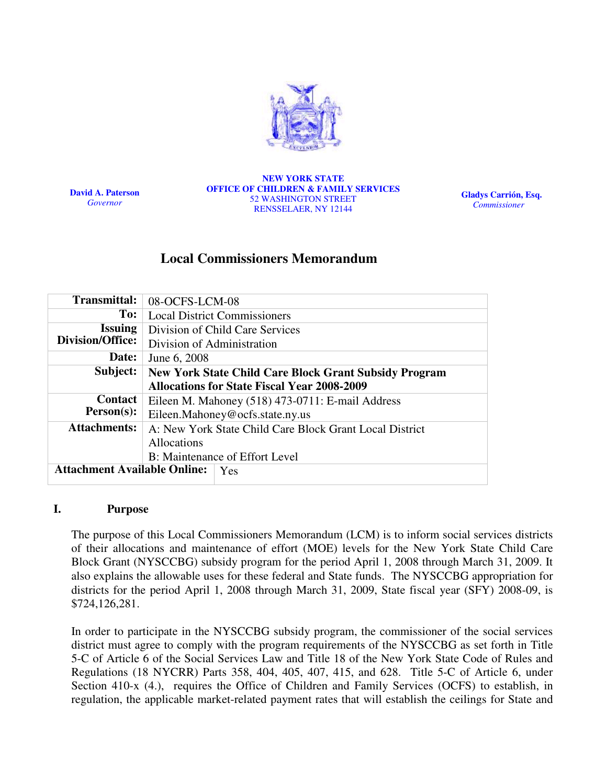

David A. Paterson Governor

#### NEW YORK STATE OFFICE OF CHILDREN & FAMILY SERVICES 52 WASHINGTON STREET RENSSELAER, NY 12144

Gladys Carrión, Esq. Commissioner

# Local Commissioners Memorandum

| <b>Transmittal:</b>                 | 08-OCFS-LCM-08                                               |  |  |
|-------------------------------------|--------------------------------------------------------------|--|--|
| To:                                 | <b>Local District Commissioners</b>                          |  |  |
| <b>Issuing</b>                      | Division of Child Care Services                              |  |  |
| Division/Office:                    | Division of Administration                                   |  |  |
| Date:                               | June 6, 2008                                                 |  |  |
| Subject:                            | <b>New York State Child Care Block Grant Subsidy Program</b> |  |  |
|                                     | <b>Allocations for State Fiscal Year 2008-2009</b>           |  |  |
| <b>Contact</b>                      | Eileen M. Mahoney (518) 473-0711: E-mail Address             |  |  |
| $Person(s)$ :                       | Eileen.Mahoney@ocfs.state.ny.us                              |  |  |
| <b>Attachments:</b>                 | A: New York State Child Care Block Grant Local District      |  |  |
|                                     | Allocations                                                  |  |  |
|                                     | B: Maintenance of Effort Level                               |  |  |
| <b>Attachment Available Online:</b> | Yes                                                          |  |  |
|                                     |                                                              |  |  |

#### I. Purpose

The purpose of this Local Commissioners Memorandum (LCM) is to inform social services districts of their allocations and maintenance of effort (MOE) levels for the New York State Child Care Block Grant (NYSCCBG) subsidy program for the period April 1, 2008 through March 31, 2009. It also explains the allowable uses for these federal and State funds. The NYSCCBG appropriation for districts for the period April 1, 2008 through March 31, 2009, State fiscal year (SFY) 2008-09, is \$724,126,281.

In order to participate in the NYSCCBG subsidy program, the commissioner of the social services district must agree to comply with the program requirements of the NYSCCBG as set forth in Title 5-C of Article 6 of the Social Services Law and Title 18 of the New York State Code of Rules and Regulations (18 NYCRR) Parts 358, 404, 405, 407, 415, and 628. Title 5-C of Article 6, under Section 410-x (4.), requires the Office of Children and Family Services (OCFS) to establish, in regulation, the applicable market-related payment rates that will establish the ceilings for State and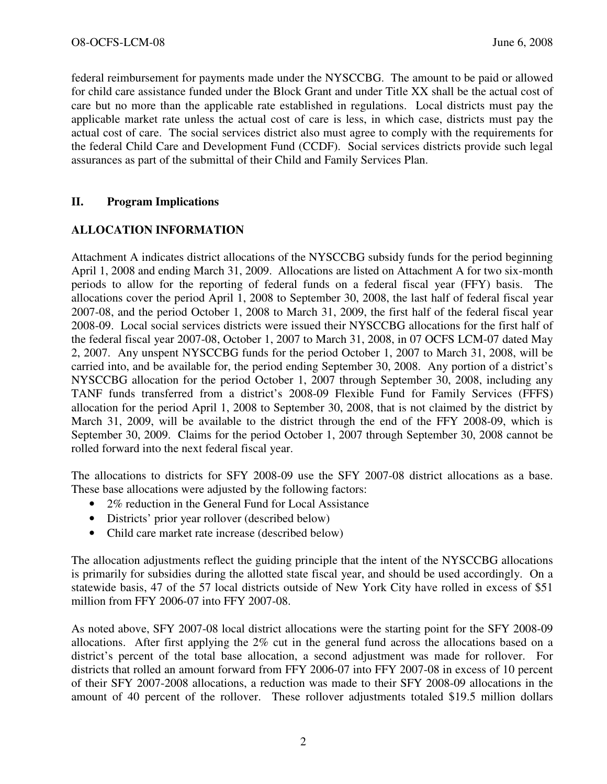federal reimbursement for payments made under the NYSCCBG. The amount to be paid or allowed for child care assistance funded under the Block Grant and under Title XX shall be the actual cost of care but no more than the applicable rate established in regulations. Local districts must pay the applicable market rate unless the actual cost of care is less, in which case, districts must pay the actual cost of care. The social services district also must agree to comply with the requirements for the federal Child Care and Development Fund (CCDF). Social services districts provide such legal assurances as part of the submittal of their Child and Family Services Plan.

### II. Program Implications

### ALLOCATION INFORMATION

Attachment A indicates district allocations of the NYSCCBG subsidy funds for the period beginning April 1, 2008 and ending March 31, 2009. Allocations are listed on Attachment A for two six-month periods to allow for the reporting of federal funds on a federal fiscal year (FFY) basis. The allocations cover the period April 1, 2008 to September 30, 2008, the last half of federal fiscal year 2007-08, and the period October 1, 2008 to March 31, 2009, the first half of the federal fiscal year 2008-09. Local social services districts were issued their NYSCCBG allocations for the first half of the federal fiscal year 2007-08, October 1, 2007 to March 31, 2008, in 07 OCFS LCM-07 dated May 2, 2007. Any unspent NYSCCBG funds for the period October 1, 2007 to March 31, 2008, will be carried into, and be available for, the period ending September 30, 2008. Any portion of a district's NYSCCBG allocation for the period October 1, 2007 through September 30, 2008, including any TANF funds transferred from a district's 2008-09 Flexible Fund for Family Services (FFFS) allocation for the period April 1, 2008 to September 30, 2008, that is not claimed by the district by March 31, 2009, will be available to the district through the end of the FFY 2008-09, which is September 30, 2009. Claims for the period October 1, 2007 through September 30, 2008 cannot be rolled forward into the next federal fiscal year.

The allocations to districts for SFY 2008-09 use the SFY 2007-08 district allocations as a base. These base allocations were adjusted by the following factors:

- 2% reduction in the General Fund for Local Assistance
- Districts' prior year rollover (described below)
- Child care market rate increase (described below)

The allocation adjustments reflect the guiding principle that the intent of the NYSCCBG allocations is primarily for subsidies during the allotted state fiscal year, and should be used accordingly. On a statewide basis, 47 of the 57 local districts outside of New York City have rolled in excess of \$51 million from FFY 2006-07 into FFY 2007-08.

As noted above, SFY 2007-08 local district allocations were the starting point for the SFY 2008-09 allocations. After first applying the 2% cut in the general fund across the allocations based on a district's percent of the total base allocation, a second adjustment was made for rollover. For districts that rolled an amount forward from FFY 2006-07 into FFY 2007-08 in excess of 10 percent of their SFY 2007-2008 allocations, a reduction was made to their SFY 2008-09 allocations in the amount of 40 percent of the rollover. These rollover adjustments totaled \$19.5 million dollars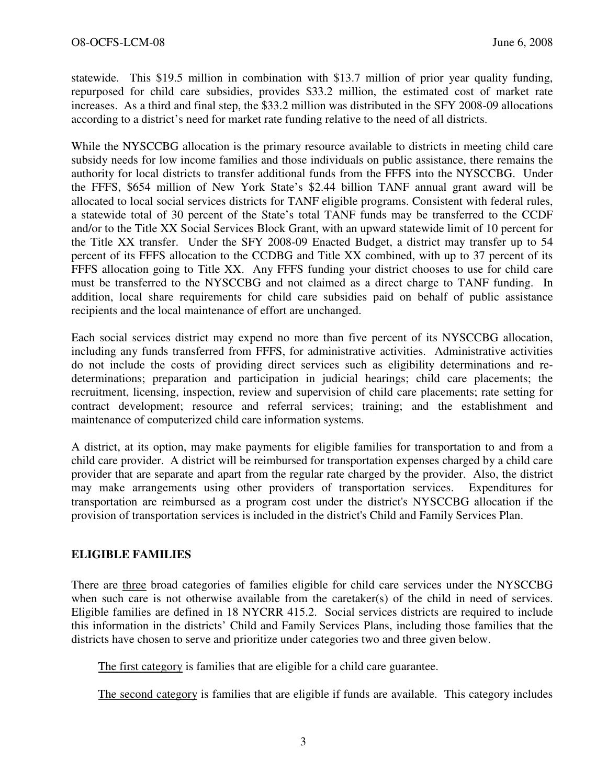statewide. This \$19.5 million in combination with \$13.7 million of prior year quality funding, repurposed for child care subsidies, provides \$33.2 million, the estimated cost of market rate increases. As a third and final step, the \$33.2 million was distributed in the SFY 2008-09 allocations according to a district's need for market rate funding relative to the need of all districts.

While the NYSCCBG allocation is the primary resource available to districts in meeting child care subsidy needs for low income families and those individuals on public assistance, there remains the authority for local districts to transfer additional funds from the FFFS into the NYSCCBG. Under the FFFS, \$654 million of New York State's \$2.44 billion TANF annual grant award will be allocated to local social services districts for TANF eligible programs. Consistent with federal rules, a statewide total of 30 percent of the State's total TANF funds may be transferred to the CCDF and/or to the Title XX Social Services Block Grant, with an upward statewide limit of 10 percent for the Title XX transfer. Under the SFY 2008-09 Enacted Budget, a district may transfer up to 54 percent of its FFFS allocation to the CCDBG and Title XX combined, with up to 37 percent of its FFFS allocation going to Title XX. Any FFFS funding your district chooses to use for child care must be transferred to the NYSCCBG and not claimed as a direct charge to TANF funding. In addition, local share requirements for child care subsidies paid on behalf of public assistance recipients and the local maintenance of effort are unchanged.

Each social services district may expend no more than five percent of its NYSCCBG allocation, including any funds transferred from FFFS, for administrative activities. Administrative activities do not include the costs of providing direct services such as eligibility determinations and redeterminations; preparation and participation in judicial hearings; child care placements; the recruitment, licensing, inspection, review and supervision of child care placements; rate setting for contract development; resource and referral services; training; and the establishment and maintenance of computerized child care information systems.

A district, at its option, may make payments for eligible families for transportation to and from a child care provider. A district will be reimbursed for transportation expenses charged by a child care provider that are separate and apart from the regular rate charged by the provider. Also, the district may make arrangements using other providers of transportation services. Expenditures for transportation are reimbursed as a program cost under the district's NYSCCBG allocation if the provision of transportation services is included in the district's Child and Family Services Plan.

### ELIGIBLE FAMILIES

There are three broad categories of families eligible for child care services under the NYSCCBG when such care is not otherwise available from the caretaker(s) of the child in need of services. Eligible families are defined in 18 NYCRR 415.2. Social services districts are required to include this information in the districts' Child and Family Services Plans, including those families that the districts have chosen to serve and prioritize under categories two and three given below.

The first category is families that are eligible for a child care guarantee.

The second category is families that are eligible if funds are available. This category includes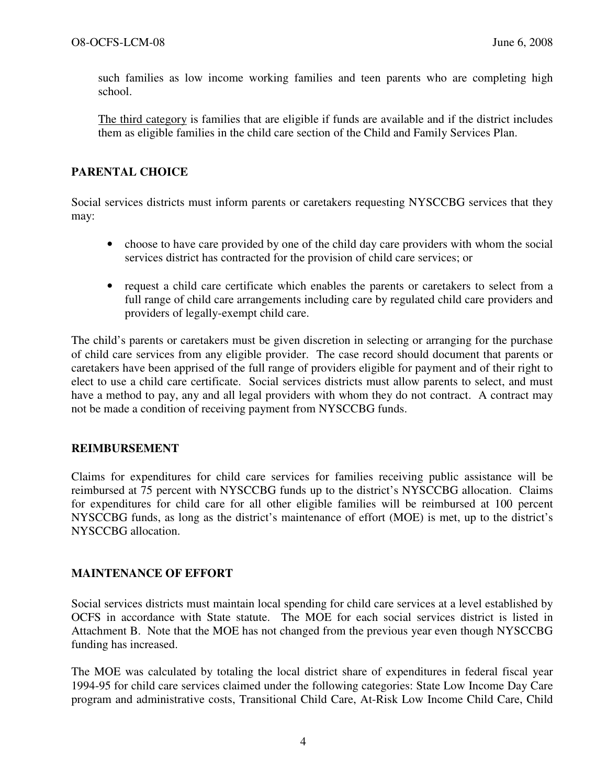such families as low income working families and teen parents who are completing high school.

 The third category is families that are eligible if funds are available and if the district includes them as eligible families in the child care section of the Child and Family Services Plan.

## PARENTAL CHOICE

Social services districts must inform parents or caretakers requesting NYSCCBG services that they may:

- choose to have care provided by one of the child day care providers with whom the social services district has contracted for the provision of child care services; or
- request a child care certificate which enables the parents or caretakers to select from a full range of child care arrangements including care by regulated child care providers and providers of legally-exempt child care.

The child's parents or caretakers must be given discretion in selecting or arranging for the purchase of child care services from any eligible provider. The case record should document that parents or caretakers have been apprised of the full range of providers eligible for payment and of their right to elect to use a child care certificate. Social services districts must allow parents to select, and must have a method to pay, any and all legal providers with whom they do not contract. A contract may not be made a condition of receiving payment from NYSCCBG funds.

### REIMBURSEMENT

Claims for expenditures for child care services for families receiving public assistance will be reimbursed at 75 percent with NYSCCBG funds up to the district's NYSCCBG allocation. Claims for expenditures for child care for all other eligible families will be reimbursed at 100 percent NYSCCBG funds, as long as the district's maintenance of effort (MOE) is met, up to the district's NYSCCBG allocation.

### MAINTENANCE OF EFFORT

Social services districts must maintain local spending for child care services at a level established by OCFS in accordance with State statute. The MOE for each social services district is listed in Attachment B. Note that the MOE has not changed from the previous year even though NYSCCBG funding has increased.

The MOE was calculated by totaling the local district share of expenditures in federal fiscal year 1994-95 for child care services claimed under the following categories: State Low Income Day Care program and administrative costs, Transitional Child Care, At-Risk Low Income Child Care, Child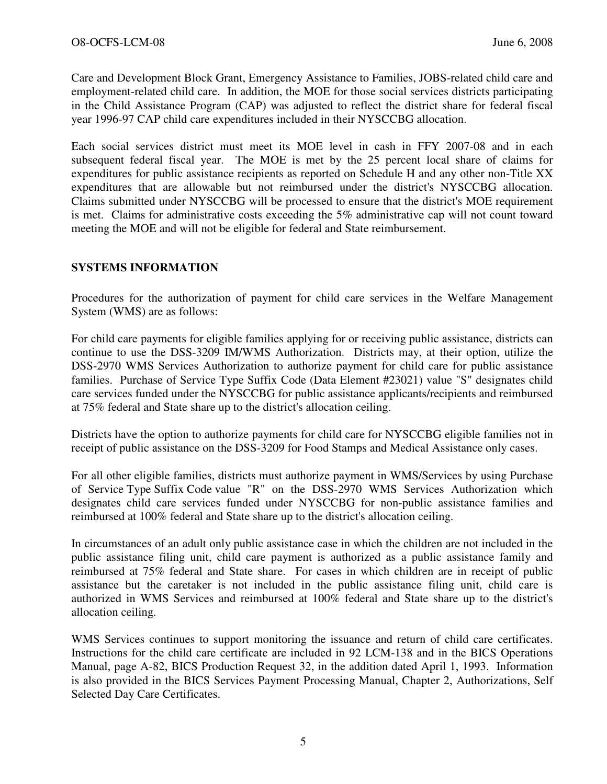Care and Development Block Grant, Emergency Assistance to Families, JOBS-related child care and employment-related child care. In addition, the MOE for those social services districts participating in the Child Assistance Program (CAP) was adjusted to reflect the district share for federal fiscal year 1996-97 CAP child care expenditures included in their NYSCCBG allocation.

Each social services district must meet its MOE level in cash in FFY 2007-08 and in each subsequent federal fiscal year. The MOE is met by the 25 percent local share of claims for expenditures for public assistance recipients as reported on Schedule H and any other non-Title XX expenditures that are allowable but not reimbursed under the district's NYSCCBG allocation. Claims submitted under NYSCCBG will be processed to ensure that the district's MOE requirement is met. Claims for administrative costs exceeding the 5% administrative cap will not count toward meeting the MOE and will not be eligible for federal and State reimbursement.

### SYSTEMS INFORMATION

Procedures for the authorization of payment for child care services in the Welfare Management System (WMS) are as follows:

For child care payments for eligible families applying for or receiving public assistance, districts can continue to use the DSS-3209 IM/WMS Authorization. Districts may, at their option, utilize the DSS-2970 WMS Services Authorization to authorize payment for child care for public assistance families. Purchase of Service Type Suffix Code (Data Element #23021) value "S" designates child care services funded under the NYSCCBG for public assistance applicants/recipients and reimbursed at 75% federal and State share up to the district's allocation ceiling.

Districts have the option to authorize payments for child care for NYSCCBG eligible families not in receipt of public assistance on the DSS-3209 for Food Stamps and Medical Assistance only cases.

For all other eligible families, districts must authorize payment in WMS/Services by using Purchase of Service Type Suffix Code value "R" on the DSS-2970 WMS Services Authorization which designates child care services funded under NYSCCBG for non-public assistance families and reimbursed at 100% federal and State share up to the district's allocation ceiling.

In circumstances of an adult only public assistance case in which the children are not included in the public assistance filing unit, child care payment is authorized as a public assistance family and reimbursed at 75% federal and State share. For cases in which children are in receipt of public assistance but the caretaker is not included in the public assistance filing unit, child care is authorized in WMS Services and reimbursed at 100% federal and State share up to the district's allocation ceiling.

WMS Services continues to support monitoring the issuance and return of child care certificates. Instructions for the child care certificate are included in 92 LCM-138 and in the BICS Operations Manual, page A-82, BICS Production Request 32, in the addition dated April 1, 1993. Information is also provided in the BICS Services Payment Processing Manual, Chapter 2, Authorizations, Self Selected Day Care Certificates.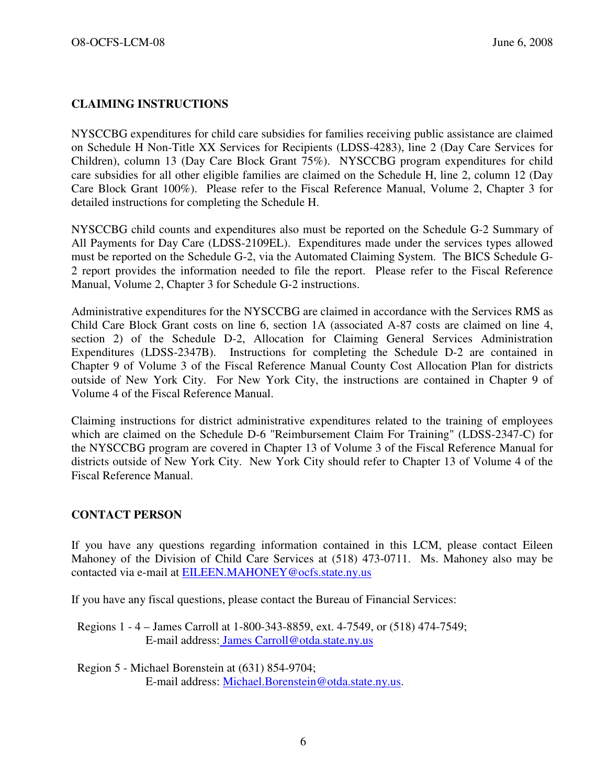## CLAIMING INSTRUCTIONS

NYSCCBG expenditures for child care subsidies for families receiving public assistance are claimed on Schedule H Non-Title XX Services for Recipients (LDSS-4283), line 2 (Day Care Services for Children), column 13 (Day Care Block Grant 75%). NYSCCBG program expenditures for child care subsidies for all other eligible families are claimed on the Schedule H, line 2, column 12 (Day Care Block Grant 100%). Please refer to the Fiscal Reference Manual, Volume 2, Chapter 3 for detailed instructions for completing the Schedule H.

NYSCCBG child counts and expenditures also must be reported on the Schedule G-2 Summary of All Payments for Day Care (LDSS-2109EL). Expenditures made under the services types allowed must be reported on the Schedule G-2, via the Automated Claiming System. The BICS Schedule G-2 report provides the information needed to file the report. Please refer to the Fiscal Reference Manual, Volume 2, Chapter 3 for Schedule G-2 instructions.

Administrative expenditures for the NYSCCBG are claimed in accordance with the Services RMS as Child Care Block Grant costs on line 6, section 1A (associated A-87 costs are claimed on line 4, section 2) of the Schedule D-2, Allocation for Claiming General Services Administration Expenditures (LDSS-2347B). Instructions for completing the Schedule D-2 are contained in Chapter 9 of Volume 3 of the Fiscal Reference Manual County Cost Allocation Plan for districts outside of New York City. For New York City, the instructions are contained in Chapter 9 of Volume 4 of the Fiscal Reference Manual.

Claiming instructions for district administrative expenditures related to the training of employees which are claimed on the Schedule D-6 "Reimbursement Claim For Training" (LDSS-2347-C) for the NYSCCBG program are covered in Chapter 13 of Volume 3 of the Fiscal Reference Manual for districts outside of New York City. New York City should refer to Chapter 13 of Volume 4 of the Fiscal Reference Manual.

#### CONTACT PERSON

If you have any questions regarding information contained in this LCM, please contact Eileen Mahoney of the Division of Child Care Services at (518) 473-0711. Ms. Mahoney also may be contacted via e-mail at **EILEEN.MAHONEY@ocfs.state.ny.us** 

If you have any fiscal questions, please contact the Bureau of Financial Services:

- Regions 1 4 James Carroll at 1-800-343-8859, ext. 4-7549, or (518) 474-7549; E-mail address: James Carroll@otda.state.ny.us
- Region 5 Michael Borenstein at (631) 854-9704; E-mail address: Michael.Borenstein@otda.state.ny.us.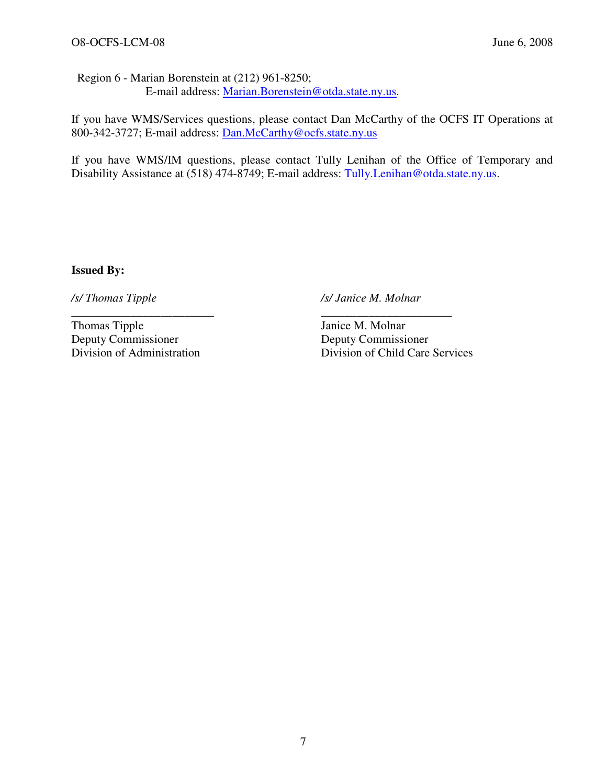Region 6 - Marian Borenstein at (212) 961-8250; E-mail address: Marian.Borenstein@otda.state.ny.us.

\_\_\_\_\_\_\_\_\_\_\_\_\_\_\_\_\_\_\_\_\_\_\_\_ \_\_\_\_\_\_\_\_\_\_\_\_\_\_\_\_\_\_\_\_\_\_

If you have WMS/Services questions, please contact Dan McCarthy of the OCFS IT Operations at 800-342-3727; E-mail address: Dan.McCarthy@ocfs.state.ny.us

If you have WMS/IM questions, please contact Tully Lenihan of the Office of Temporary and Disability Assistance at (518) 474-8749; E-mail address: Tully.Lenihan@otda.state.ny.us.

Issued By:

/s/ Thomas Tipple /s/ Janice M. Molnar

Thomas Tipple Janice M. Molnar Deputy Commissioner Deputy Commissioner

Division of Child Care Services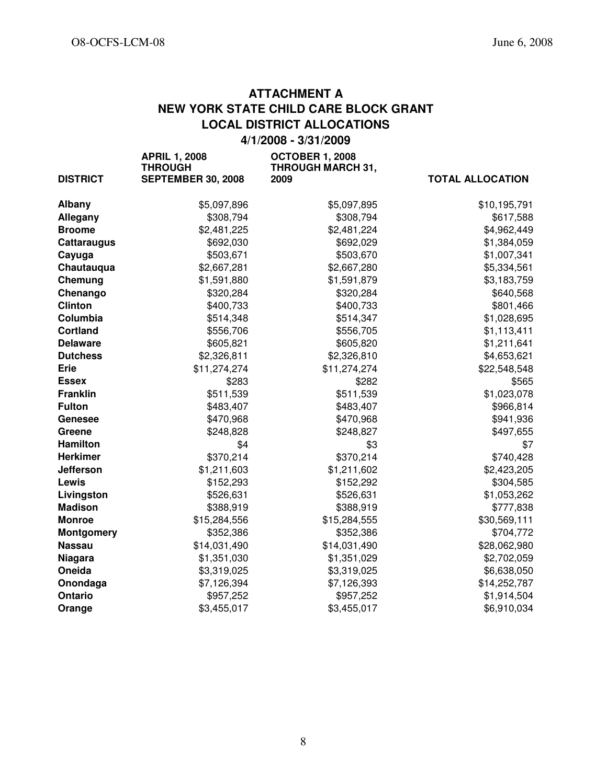# ATTACHMENT A NEW YORK STATE CHILD CARE BLOCK GRANT LOCAL DISTRICT ALLOCATIONS

4/1/2008 - 3/31/2009

| <b>DISTRICT</b>    | <b>APRIL 1, 2008</b><br><b>THROUGH</b><br><b>SEPTEMBER 30, 2008</b> | <b>OCTOBER 1, 2008</b><br><b>THROUGH MARCH 31,</b><br>2009 | <b>TOTAL ALLOCATION</b> |
|--------------------|---------------------------------------------------------------------|------------------------------------------------------------|-------------------------|
| <b>Albany</b>      | \$5,097,896                                                         | \$5,097,895                                                | \$10,195,791            |
| Allegany           | \$308,794                                                           | \$308,794                                                  | \$617,588               |
| <b>Broome</b>      | \$2,481,225                                                         | \$2,481,224                                                | \$4,962,449             |
| <b>Cattaraugus</b> | \$692,030                                                           | \$692,029                                                  | \$1,384,059             |
| Cayuga             | \$503,671                                                           | \$503,670                                                  | \$1,007,341             |
| Chautauqua         | \$2,667,281                                                         | \$2,667,280                                                | \$5,334,561             |
| Chemung            | \$1,591,880                                                         | \$1,591,879                                                | \$3,183,759             |
| Chenango           | \$320,284                                                           | \$320,284                                                  | \$640,568               |
| <b>Clinton</b>     | \$400,733                                                           | \$400,733                                                  | \$801,466               |
| Columbia           | \$514,348                                                           | \$514,347                                                  | \$1,028,695             |
| <b>Cortland</b>    | \$556,706                                                           | \$556,705                                                  | \$1,113,411             |
| <b>Delaware</b>    | \$605,821                                                           | \$605,820                                                  | \$1,211,641             |
| <b>Dutchess</b>    | \$2,326,811                                                         | \$2,326,810                                                | \$4,653,621             |
| <b>Erie</b>        | \$11,274,274                                                        | \$11,274,274                                               | \$22,548,548            |
| <b>Essex</b>       | \$283                                                               | \$282                                                      | \$565                   |
| <b>Franklin</b>    | \$511,539                                                           | \$511,539                                                  | \$1,023,078             |
| <b>Fulton</b>      | \$483,407                                                           | \$483,407                                                  | \$966,814               |
| Genesee            | \$470,968                                                           | \$470,968                                                  | \$941,936               |
| <b>Greene</b>      | \$248,828                                                           | \$248,827                                                  | \$497,655               |
| <b>Hamilton</b>    | \$4                                                                 | \$3                                                        | \$7                     |
| <b>Herkimer</b>    | \$370,214                                                           | \$370,214                                                  | \$740,428               |
| Jefferson          | \$1,211,603                                                         | \$1,211,602                                                | \$2,423,205             |
| Lewis              | \$152,293                                                           | \$152,292                                                  | \$304,585               |
| Livingston         | \$526,631                                                           | \$526,631                                                  | \$1,053,262             |
| <b>Madison</b>     | \$388,919                                                           | \$388,919                                                  | \$777,838               |
| <b>Monroe</b>      | \$15,284,556                                                        | \$15,284,555                                               | \$30,569,111            |
| <b>Montgomery</b>  | \$352,386                                                           | \$352,386                                                  | \$704,772               |
| <b>Nassau</b>      | \$14,031,490                                                        | \$14,031,490                                               | \$28,062,980            |
| <b>Niagara</b>     | \$1,351,030                                                         | \$1,351,029                                                | \$2,702,059             |
| Oneida             | \$3,319,025                                                         | \$3,319,025                                                | \$6,638,050             |
| Onondaga           | \$7,126,394                                                         | \$7,126,393                                                | \$14,252,787            |
| Ontario            | \$957,252                                                           | \$957,252                                                  | \$1,914,504             |
| Orange             | \$3,455,017                                                         | \$3,455,017                                                | \$6,910,034             |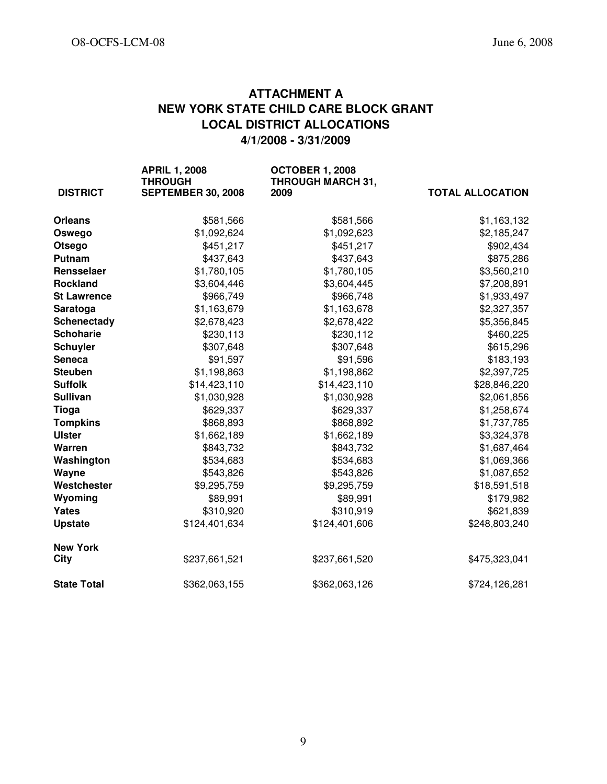# ATTACHMENT A NEW YORK STATE CHILD CARE BLOCK GRANT LOCAL DISTRICT ALLOCATIONS 4/1/2008 - 3/31/2009

| <b>DISTRICT</b>    | <b>APRIL 1, 2008</b><br><b>THROUGH</b><br><b>SEPTEMBER 30, 2008</b> | <b>OCTOBER 1, 2008</b><br><b>THROUGH MARCH 31,</b><br>2009 | <b>TOTAL ALLOCATION</b> |
|--------------------|---------------------------------------------------------------------|------------------------------------------------------------|-------------------------|
| <b>Orleans</b>     | \$581,566                                                           | \$581,566                                                  | \$1,163,132             |
| Oswego             | \$1,092,624                                                         | \$1,092,623                                                | \$2,185,247             |
| Otsego             | \$451,217                                                           | \$451,217                                                  | \$902,434               |
| Putnam             | \$437,643                                                           | \$437,643                                                  | \$875,286               |
| Rensselaer         | \$1,780,105                                                         | \$1,780,105                                                | \$3,560,210             |
| <b>Rockland</b>    | \$3,604,446                                                         | \$3,604,445                                                | \$7,208,891             |
| <b>St Lawrence</b> | \$966,749                                                           | \$966,748                                                  | \$1,933,497             |
| Saratoga           | \$1,163,679                                                         | \$1,163,678                                                | \$2,327,357             |
| Schenectady        | \$2,678,423                                                         | \$2,678,422                                                | \$5,356,845             |
| <b>Schoharie</b>   | \$230,113                                                           | \$230,112                                                  | \$460,225               |
| <b>Schuyler</b>    | \$307,648                                                           | \$307,648                                                  | \$615,296               |
| <b>Seneca</b>      | \$91,597                                                            | \$91,596                                                   | \$183,193               |
| <b>Steuben</b>     | \$1,198,863                                                         | \$1,198,862                                                | \$2,397,725             |
| <b>Suffolk</b>     | \$14,423,110                                                        | \$14,423,110                                               | \$28,846,220            |
| <b>Sullivan</b>    | \$1,030,928                                                         | \$1,030,928                                                | \$2,061,856             |
| <b>Tioga</b>       | \$629,337                                                           | \$629,337                                                  | \$1,258,674             |
| <b>Tompkins</b>    | \$868,893                                                           | \$868,892                                                  | \$1,737,785             |
| <b>Ulster</b>      | \$1,662,189                                                         | \$1,662,189                                                | \$3,324,378             |
| Warren             | \$843,732                                                           | \$843,732                                                  | \$1,687,464             |
| Washington         | \$534,683                                                           | \$534,683                                                  | \$1,069,366             |
| Wayne              | \$543,826                                                           | \$543,826                                                  | \$1,087,652             |
| Westchester        | \$9,295,759                                                         | \$9,295,759                                                | \$18,591,518            |
| Wyoming            | \$89,991                                                            | \$89,991                                                   | \$179,982               |
| Yates              | \$310,920                                                           | \$310,919                                                  | \$621,839               |
| <b>Upstate</b>     | \$124,401,634                                                       | \$124,401,606                                              | \$248,803,240           |
| <b>New York</b>    |                                                                     |                                                            |                         |
| <b>City</b>        | \$237,661,521                                                       | \$237,661,520                                              | \$475,323,041           |
| <b>State Total</b> | \$362,063,155                                                       | \$362,063,126                                              | \$724,126,281           |